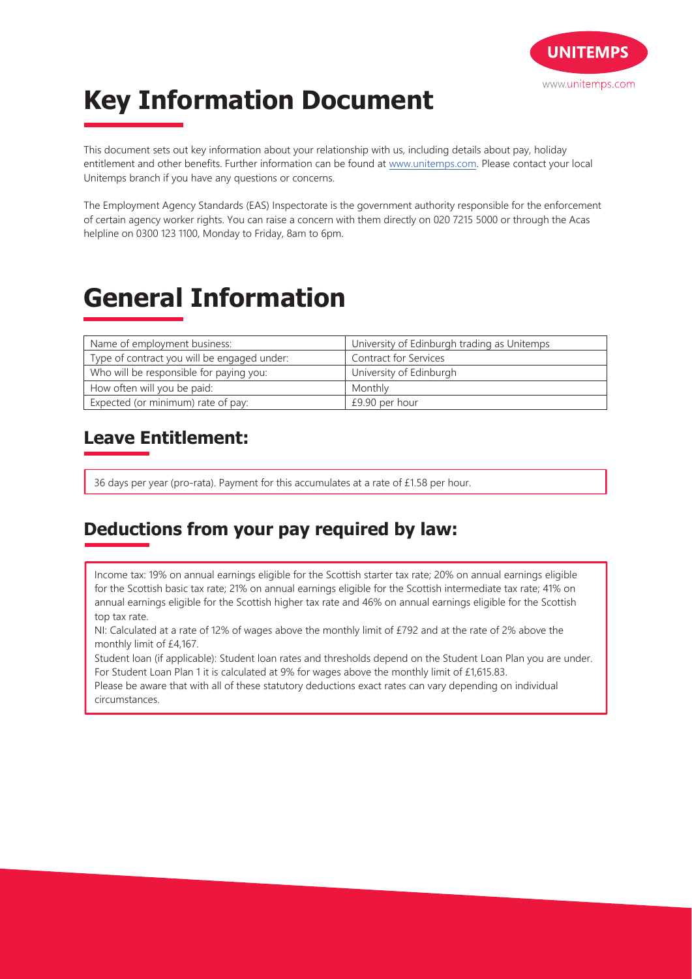

# **Key Information Document**

This document sets out key information about your relationship with us, including details about pay, holiday entitlement and other benefits. Further information can be found at www.unitemps.com. Please contact your local Unitemps branch if you have any questions or concerns.

The Employment Agency Standards (EAS) Inspectorate is the government authority responsible for the enforcement of certain agency worker rights. You can raise a concern with them directly on 020 7215 5000 or through the Acas helpline on 0300 123 1100, Monday to Friday, 8am to 6pm.

# **General Information**

| Name of employment business:                | University of Edinburgh trading as Unitemps |
|---------------------------------------------|---------------------------------------------|
| Type of contract you will be engaged under: | Contract for Services                       |
| Who will be responsible for paying you:     | University of Edinburgh                     |
| How often will you be paid:                 | Monthly                                     |
| Expected (or minimum) rate of pay:          | £9.90 per hour                              |

#### **Leave Entitlement:**

36 days per year (pro-rata). Payment for this accumulates at a rate of £1.58 per hour.

### **Deductions from your pay required by law:**

Income tax: 19% on annual earnings eligible for the Scottish starter tax rate; 20% on annual earnings eligible for the Scottish basic tax rate; 21% on annual earnings eligible for the Scottish intermediate tax rate; 41% on annual earnings eligible for the Scottish higher tax rate and 46% on annual earnings eligible for the Scottish top tax rate.

NI: Calculated at a rate of 12% of wages above the monthly limit of £792 and at the rate of 2% above the monthly limit of £4,167.

Student loan (if applicable): Student loan rates and thresholds depend on the Student Loan Plan you are under. For Student Loan Plan 1 it is calculated at 9% for wages above the monthly limit of £1,615.83.

Please be aware that with all of these statutory deductions exact rates can vary depending on individual circumstances.